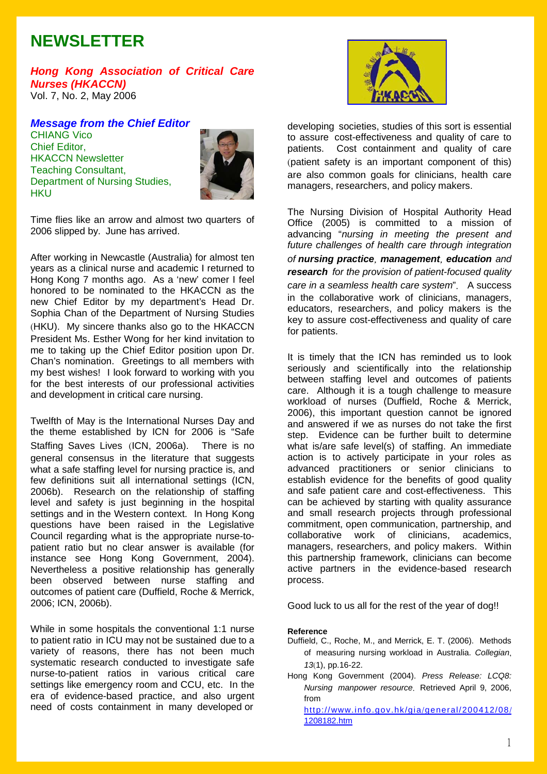# **NEWSLETTER**

*Hong Kong Association of Critical Care Nurses (HKACCN)* Vol. 7, No. 2, May 2006

*Message from the Chief Editor* CHIANG Vico Chief Editor, HKACCN Newsletter Teaching Consultant, Department of Nursing Studies, **HKU** 



Time flies like an arrow and almost two quarters of 2006 slipped by. June has arrived.

After working in Newcastle (Australia) for almost ten years as a clinical nurse and academic I returned to Hong Kong 7 months ago. As a 'new' comer I feel honored to be nominated to the HKACCN as the new Chief Editor by my department's Head Dr. Sophia Chan of the Department of Nursing Studies (HKU). My sincere thanks also go to the HKACCN President Ms. Esther Wong for her kind invitation to me to taking up the Chief Editor position upon Dr. Chan's nomination. Greetings to all members with my best wishes! I look forward to working with you for the best interests of our professional activities and development in critical care nursing.

Twelfth of May is the International Nurses Day and the theme established by ICN for 2006 is "Safe Staffing Saves Lives (ICN, 2006a). There is no general consensus in the literature that suggests what a safe staffing level for nursing practice is, and few definitions suit all international settings (ICN, 2006b). Research on the relationship of staffing level and safety is just beginning in the hospital settings and in the Western context. In Hong Kong questions have been raised in the Legislative Council regarding what is the appropriate nurse-topatient ratio but no clear answer is available (for instance see Hong Kong Government, 2004). Nevertheless a positive relationship has generally been observed between nurse staffing and outcomes of patient care (Duffield, Roche & Merrick, 2006; ICN, 2006b).

While in some hospitals the conventional 1:1 nurse to patient ratio in ICU may not be sustained due to a variety of reasons, there has not been much systematic research conducted to investigate safe nurse-to-patient ratios in various critical care settings like emergency room and CCU, etc. In the era of evidence-based practice, and also urgent need of costs containment in many developed or



developing societies, studies of this sort is essential to assure cost-effectiveness and quality of care to patients. Cost containment and quality of care (patient safety is an important component of this) are also common goals for clinicians, health care managers, researchers, and policy makers.

The Nursing Division of Hospital Authority Head Office (2005) is committed to a mission of advancing "*nursing in meeting the present and future challenges of health care through integration of nursing practice*, *management*, *education and research for the provision of patient-focused quality care in a seamless health care system*". A success in the collaborative work of clinicians, managers, educators, researchers, and policy makers is the key to assure cost-effectiveness and quality of care for patients.

It is timely that the ICN has reminded us to look seriously and scientifically into the relationship between staffing level and outcomes of patients care. Although it is a tough challenge to measure workload of nurses (Duffield, Roche & Merrick, 2006), this important question cannot be ignored and answered if we as nurses do not take the first step. Evidence can be further built to determine what is/are safe level(s) of staffing. An immediate action is to actively participate in your roles as advanced practitioners or senior clinicians to establish evidence for the benefits of good quality and safe patient care and cost-effectiveness. This can be achieved by starting with quality assurance and small research projects through professional commitment, open communication, partnership, and collaborative work of clinicians, academics, managers, researchers, and policy makers. Within this partnership framework, clinicians can become active partners in the evidence-based research process.

Good luck to us all for the rest of the year of dog!!

#### **Reference**

- Duffield, C., Roche, M., and Merrick, E. T. (2006). Methods of measuring nursing workload in Australia. *Collegian*, *13*(1), pp.16-22.
- Hong Kong Government (2004). *Press Release: LCQ8: Nursing manpower resource*. Retrieved April 9, 2006, from

http://www.info.gov.hk/gia/general/200412/08/ 1208182.htm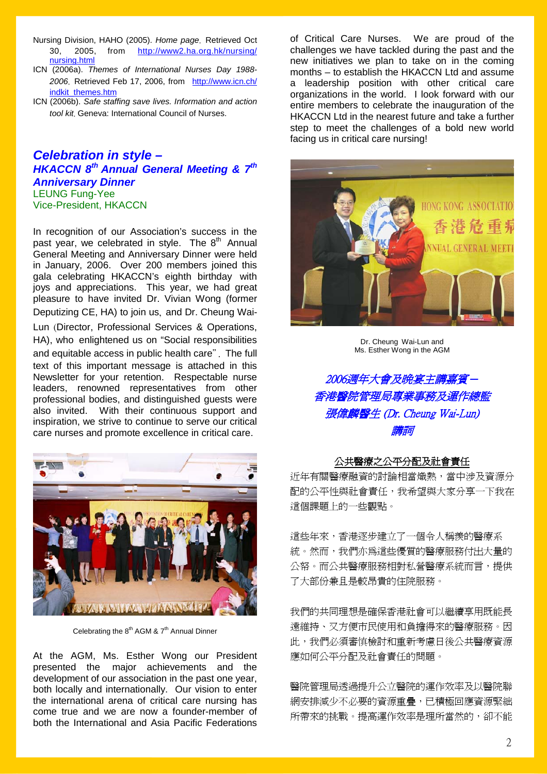- Nursing Division, HAHO (2005). *Home page*. Retrieved Oct 30, 2005, from http://www2.ha.org.hk/nursing/ nursing.html
- ICN (2006a). *Themes of International Nurses Day 1988- 2006*. Retrieved Feb 17, 2006, from http://www.icn.ch/ indkit\_themes.htm
- ICN (2006b). *Safe staffing save lives. Information and action tool kit*. Geneva: International Council of Nurses.

## *Celebration in style – HKACCN 8th Annual General Meeting & 7th Anniversary Dinner* LEUNG Fung-Yee Vice-President, HKACCN

In recognition of our Association's success in the past year, we celebrated in style. The 8<sup>th</sup> Annual General Meeting and Anniversary Dinner were held in January, 2006. Over 200 members joined this gala celebrating HKACCN's eighth birthday with joys and appreciations. This year, we had great pleasure to have invited Dr. Vivian Wong (former Deputizing CE, HA) to join us, and Dr. Cheung Wai-

Lun (Director, Professional Services & Operations, HA), who enlightened us on "Social responsibilities and equitable access in public health care". The full text of this important message is attached in this Newsletter for your retention. Respectable nurse leaders, renowned representatives from other professional bodies, and distinguished guests were also invited. With their continuous support and inspiration, we strive to continue to serve our critical care nurses and promote excellence in critical care.



Celebrating the  $8<sup>th</sup>$  AGM &  $7<sup>th</sup>$  Annual Dinner

At the AGM, Ms. Esther Wong our President presented the major achievements and the development of our association in the past one year, both locally and internationally. Our vision to enter the international arena of critical care nursing has come true and we are now a founder-member of both the International and Asia Pacific Federations

of Critical Care Nurses. We are proud of the challenges we have tackled during the past and the new initiatives we plan to take on in the coming months – to establish the HKACCN Ltd and assume a leadership position with other critical care organizations in the world. I look forward with our entire members to celebrate the inauguration of the HKACCN Ltd in the nearest future and take a further step to meet the challenges of a bold new world facing us in critical care nursing!



Dr. Cheung Wai-Lun and Ms. Esther Wong in the AGM



# 公共醫療之公平分配及社會責任

近年有關醫療融資的討論相當熾熱,當中涉及資源分 配的公平性與社會責任,我希望與大家分享一下我在 這個課題上的一些觀點。

這些年來,香港逐步建立了一個令人稱羨的醫療系 統。然而,我們亦為這些優質的醫療服務付出大量的 公帑。而公共醫療服務相對私營醫療系統而言,提供 了大部份兼且是較昂貴的住院服務。

我們的共同理想是確保香港社會可以繼續享用既能長 遠維持、又方便市民使用和負擔得來的醫療服務。因 此,我們必須審慎檢討和重新考慮日後公共醫療資源 應如何公平分配及社會責任的問題。

醫院管理局透過提升公立醫院的運作效率及以醫院聯 網安排減少不必要的資源重疊,已積極回應資源緊絀 所帶來的挑戰。提高運作效率是理所當然的,卻不能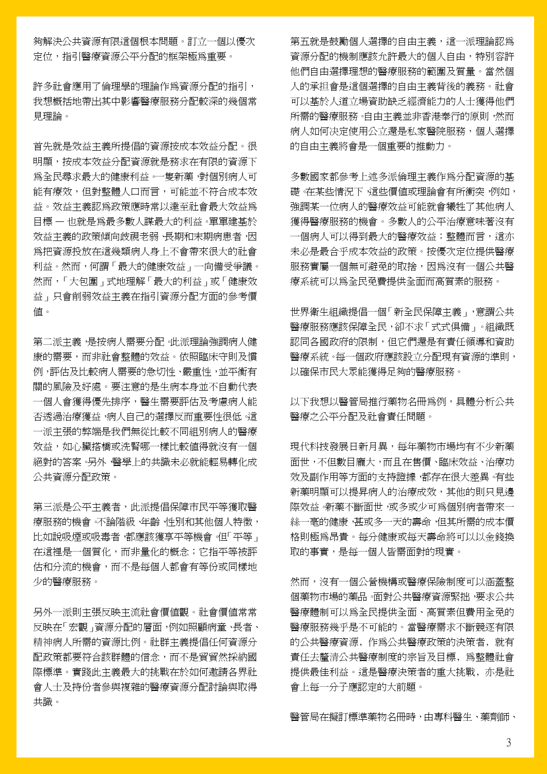夠解決公共資源有限這個根本問題。訂立一個以優次 定位,指引醫療資源公平分配的框架極為重要。

許多社會應用了倫理學的理論作為資源分配的指引, 我想概括地帶出其中影響醫療服務分配較深的幾個常 見理論。

首先就是效益主義所提倡的資源按成本效益分配。很 明顯,按成本效益分配資源就是務求在有限的資源下 為全民尋求最大的健康利益。一隻新藥,對個別病人可 能有療效,但對整體人口而言,可能並不符合成本效 益。效益主義認為政策應時常以達至社會最大效益為 目標 — 也就是為最多數人謀最大的利益。單單建基於 效益主義的政策傾向歧視老弱、長期和末期病患者,因 為把資源投放在這幾類病人身上不會帶來很大的社會 利益。然而,何謂「最大的健康效益」一向備受爭議。 然而,「大包圍」式地理解「最大的利益」或「健康效 益」只會削弱效益主義在指引資源分配方面的參考價 值。

第二派主義,是按病人需要分配。此派理論強調病人健 康的需要,而非社會整體的效益。依照臨床守則及慣 例,評估及比較病人需要的急切性、嚴重性,並平衡有 關的風險及好處。要注意的是生病本身並不自動代表 一個人會獲得優先排序,醫生需要評估及考慮病人能 否透過治療獲益,病人自己的選擇反而重要性很低。這 一派主張的弊端是我們無從比較不同組別病人的醫療 效益,如心臟搭橋或洗腎哪一樣比較值得就沒有一個 絕對的答案。另外,醫學上的共識未必就能輕易轉化成 公共資源分配政策。

第三派是公平主義者,此派提倡保障市民平等獲取醫 療服務的機會。不論階級、年齡、性別和其他個人特徵, 比如說吸煙或吸毒者,都應該獲享平等機會。但「平等」 在這裡是一個質化,而非量化的概念;它指平等被評 估和分流的機會,而不是每個人都會有等份或同樣地 少的醫療服務。

另外一派則主張反映主流社會價值觀。社會價值常常 反映在「宏觀」資源分配的層面,例如照顧病童、長者、 精神病人所需的資源比例。社群主義提倡任何資源分 配政策都要符合該群體的信念,而不是貿貿然採納國 際標準。實踐此主義最大的挑戰在於如何邀請各界社 會人士及持份者參與複雜的醫療資源分配討論與取得 共識。

第五就是鼓勵個人選擇的自由主義,這一派理論認為 資源分配的機制應該允許最大的個人自由,特別容許 他們自由選擇理想的醫療服務的範圍及質量。當然個 人的承担會是這個選擇的自由主義背後的義務。社會 可以基於人道立場資助缺乏經濟能力的人士獲得他們 所需的醫療服務。自由主義並非香港奉行的原則,然而 病人如何决定使用公立還是私家醫院服務,個人選擇 的自由主義將會是一個重要的推動力。

多數國家都參考上述多派倫理主義作為分配資源的基 礎。在某些情況下 這些價值或理論會有所衝突,例如, 強調某一位病人的醫療效益可能就會犧牲了其他病人 獲得醫療服務的機會。多數人的公平治療意味著沒有 一個病人可以得到最大的醫療效益;整體而言,這亦 未必是最合乎成本效益的政策。按優次定位提供醫療 服務實屬一個無可避免的取捨,因為沒有一個公共醫 療系統可以為全民免費提供全面而高質素的服務。

世界衛生組織提倡一個「新全民保障主義」,意謂公共 醫療服務應該保障全民,卻不求「式式俱備」。組織既 認同各國政府的限制,但它們還是有責任領導和資助 醫療系統。每一個政府應該設立分配現有資源的準則, 以確保市民大眾能獲得足夠的醫療服務。

以下我想以醫管局推行藥物名冊為例,具體分析公共 醫療之公平分配及社會責任問題。

現代科技發展日新月異,每年藥物市場均有不少新藥 面世,不但數目龐大,而且在售價、臨床效益、治療功 效及副作用等方面的支持證據,都存在很大差異。有些 新藥明顯可以提昇病人的治療成效,其他的則只見邊 際效益。新藥不斷面世,或多或少可為個別病者帶來一 絲一毫的健康,甚或多一天的壽命,但其所需的成本價 格則極為昂貴。每分健康或每天壽命將可以以金錢換 取的事實,是每一個人皆需面對的現實。

然而,沒有一個公營機構或醫療保險制度可以涵蓋整 個藥物市場的藥品。面對公共醫療資源緊拙,要求公共 醫療體制可以為全民提供全面、高質素但費用全免的 醫療服務幾乎是不可能的。當醫療需求不斷競逐有限 的公共醫療資源﹐作為公共醫療政策的決策者﹐就有 責任去釐清公共醫療制度的宗旨及目標﹐為整體社會 提供最佳利益。這是醫療決策者的重大挑戰﹐亦是社 會上每一分子應認定的大前題。

醫管局在擬訂標準藥物名冊時,由專科醫生、藥劑師、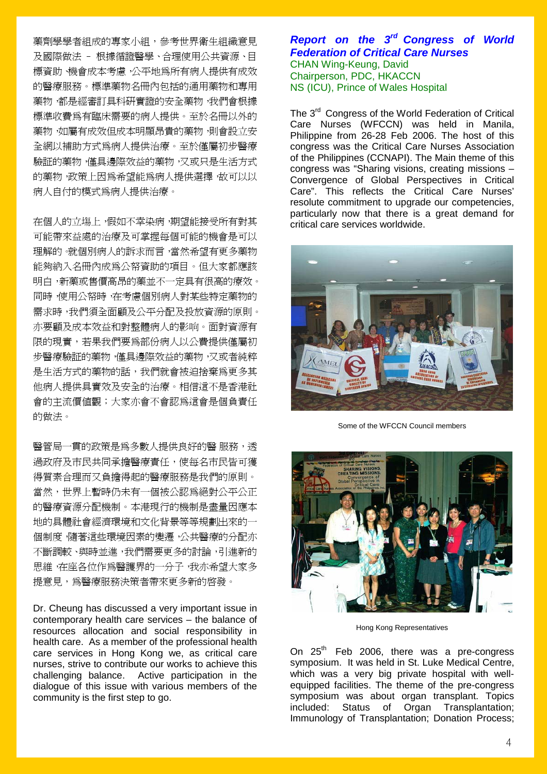藥劑學學者組成的專家小組,參考世界衛生組織意見 及國際做法 – 根據循證醫學、合理使用公共資源、目 標資助、機會成本考慮,公平地為所有病人提供有成效 的醫療服務。標準藥物名冊內包括的通用藥物和專用 藥物,都是經審訂具科研實證的安全藥物,我們會根據 標準收費為有臨床需要的病人提供。至於名冊以外的 藥物,如屬有成效但成本明顯昂貴的藥物,則會設立安 全網以補助方式為病人提供治療。至於僅屬初步醫療 驗証的藥物,僅具邊際效益的藥物,又或只是生活方式 的藥物,政策上因為希望能為病人提供選擇,故可以以 病人自付的模式為病人提供治療。

在個人的立塲上,假如不幸染病,期望能接受所有對其 可能帶來益處的治療及可掌握每個可能的機會是可以 理解的。就個別病人的訴求而言,當然希望有更多藥物 能夠納入名冊內成為公帑資助的項目。但大家都應該 明白,新藥或售價高昂的藥並不一定具有很高的療效。 同時,使用公帑時,在考慮個別病人對某些特定藥物的 需求時,我們須全面顧及公平分配及投放資源的原則。 亦要顧及成本效益和對整體病人的影响。面對資源有 限的現實,若果我們要為部份病人以公費提供僅屬初 步醫療驗証的藥物,僅具邊際效益的藥物,又或者純粹 是生活方式的藥物的話,我們就會被迫捨棄為更多其 他病人提供具實效及安全的治療。相信這不是香港社 會的主流價值觀;大家亦會不會認為這會是個負責任 的做法。

醫管局一貫的政策是為多數人提供良好的醫 服務,透 過政府及市民共同承擔醫療責任,使每名市民皆可獲 得質素合理而又負擔得起的醫療服務是我們的原則。 當然,世界上暫時仍未有一個被公認為絕對公平公正 的醫療資源分配機制。本港現行的機制是盡量因應本 地的具體社會經濟環境和文化背景等等規劃出來的一 個制度,隨著這些環境因素的變遷,公共醫療的分配亦 不斷調較、與時並進,我們需要更多的討論,引進新的 思維,在座各位作為醫護界的一分子,我亦希望大家多 提意見,為醫療服務決策者帶來更多新的啟發。

Dr. Cheung has discussed a very important issue in contemporary health care services – the balance of resources allocation and social responsibility in health care. As a member of the professional health care services in Hong Kong we, as critical care nurses, strive to contribute our works to achieve this challenging balance. Active participation in the dialogue of this issue with various members of the community is the first step to go.

# *Report on the 3rd Congress of World Federation of Critical Care Nurses* CHAN Wing-Keung, David Chairperson, PDC, HKACCN NS (ICU), Prince of Wales Hospital

The 3<sup>rd</sup> Congress of the World Federation of Critical Care Nurses (WFCCN) was held in Manila, Philippine from 26-28 Feb 2006. The host of this congress was the Critical Care Nurses Association of the Philippines (CCNAPI). The Main theme of this congress was "Sharing visions, creating missions – Convergence of Global Perspectives in Critical Care". This reflects the Critical Care Nurses' resolute commitment to upgrade our competencies, particularly now that there is a great demand for critical care services worldwide.



Some of the WFCCN Council members



Hong Kong Representatives

On  $25<sup>th</sup>$  Feb 2006, there was a pre-congress symposium. It was held in St. Luke Medical Centre, which was a very big private hospital with wellequipped facilities. The theme of the pre-congress symposium was about organ transplant. Topics included: Status of Organ Transplantation; Immunology of Transplantation; Donation Process;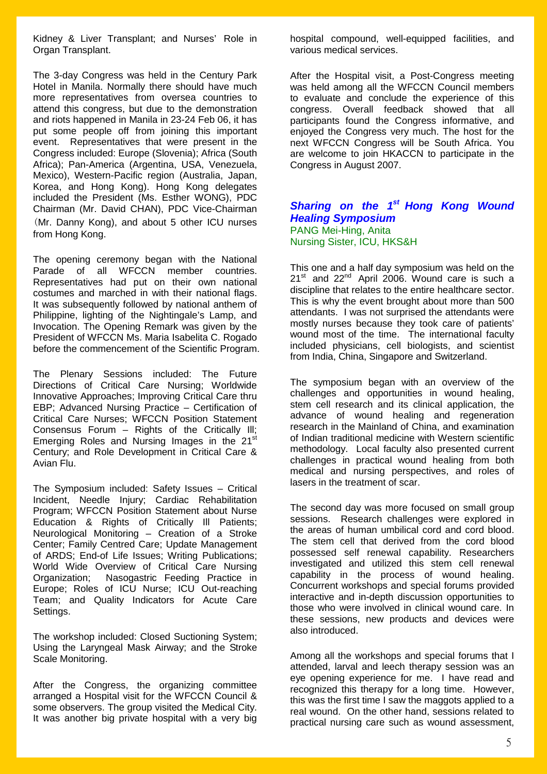Kidney & Liver Transplant; and Nurses' Role in Organ Transplant.

The 3-day Congress was held in the Century Park Hotel in Manila. Normally there should have much more representatives from oversea countries to attend this congress, but due to the demonstration and riots happened in Manila in 23-24 Feb 06, it has put some people off from joining this important event. Representatives that were present in the Congress included: Europe (Slovenia); Africa (South Africa); Pan-America (Argentina, USA, Venezuela, Mexico), Western-Pacific region (Australia, Japan, Korea, and Hong Kong). Hong Kong delegates included the President (Ms. Esther WONG), PDC Chairman (Mr. David CHAN), PDC Vice-Chairman (Mr. Danny Kong), and about 5 other ICU nurses from Hong Kong.

The opening ceremony began with the National Parade of all WFCCN member countries. Representatives had put on their own national costumes and marched in with their national flags. It was subsequently followed by national anthem of Philippine, lighting of the Nightingale's Lamp, and Invocation. The Opening Remark was given by the President of WFCCN Ms. Maria Isabelita C. Rogado before the commencement of the Scientific Program.

The Plenary Sessions included: The Future Directions of Critical Care Nursing; Worldwide Innovative Approaches; Improving Critical Care thru EBP; Advanced Nursing Practice – Certification of Critical Care Nurses; WFCCN Position Statement Consensus Forum – Rights of the Critically Ill; Emerging Roles and Nursing Images in the 21<sup>st</sup> Century; and Role Development in Critical Care & Avian Flu.

The Symposium included: Safety Issues – Critical Incident, Needle Injury; Cardiac Rehabilitation Program; WFCCN Position Statement about Nurse Education & Rights of Critically Ill Patients; Neurological Monitoring – Creation of a Stroke Center; Family Centred Care; Update Management of ARDS; End-of Life Issues; Writing Publications; World Wide Overview of Critical Care Nursing Organization; Nasogastric Feeding Practice in Europe; Roles of ICU Nurse; ICU Out-reaching Team; and Quality Indicators for Acute Care Settings.

The workshop included: Closed Suctioning System; Using the Laryngeal Mask Airway; and the Stroke Scale Monitoring.

After the Congress, the organizing committee arranged a Hospital visit for the WFCCN Council & some observers. The group visited the Medical City. It was another big private hospital with a very big

hospital compound, well-equipped facilities, and various medical services.

After the Hospital visit, a Post-Congress meeting was held among all the WFCCN Council members to evaluate and conclude the experience of this congress. Overall feedback showed that all participants found the Congress informative, and enjoyed the Congress very much. The host for the next WFCCN Congress will be South Africa. You are welcome to join HKACCN to participate in the Congress in August 2007.

## *Sharing on the 1st Hong Kong Wound Healing Symposium*  PANG Mei-Hing, Anita Nursing Sister, ICU, HKS&H

This one and a half day symposium was held on the  $21^{st}$  and  $22^{nd}$  April 2006. Wound care is such a discipline that relates to the entire healthcare sector. This is why the event brought about more than 500 attendants. I was not surprised the attendants were mostly nurses because they took care of patients' wound most of the time. The international faculty included physicians, cell biologists, and scientist from India, China, Singapore and Switzerland.

The symposium began with an overview of the challenges and opportunities in wound healing, stem cell research and its clinical application, the advance of wound healing and regeneration research in the Mainland of China, and examination of Indian traditional medicine with Western scientific methodology. Local faculty also presented current challenges in practical wound healing from both medical and nursing perspectives, and roles of lasers in the treatment of scar.

The second day was more focused on small group sessions. Research challenges were explored in the areas of human umbilical cord and cord blood. The stem cell that derived from the cord blood possessed self renewal capability. Researchers investigated and utilized this stem cell renewal capability in the process of wound healing. Concurrent workshops and special forums provided interactive and in-depth discussion opportunities to those who were involved in clinical wound care. In these sessions, new products and devices were also introduced.

Among all the workshops and special forums that I attended, larval and leech therapy session was an eye opening experience for me. I have read and recognized this therapy for a long time. However, this was the first time I saw the maggots applied to a real wound. On the other hand, sessions related to practical nursing care such as wound assessment,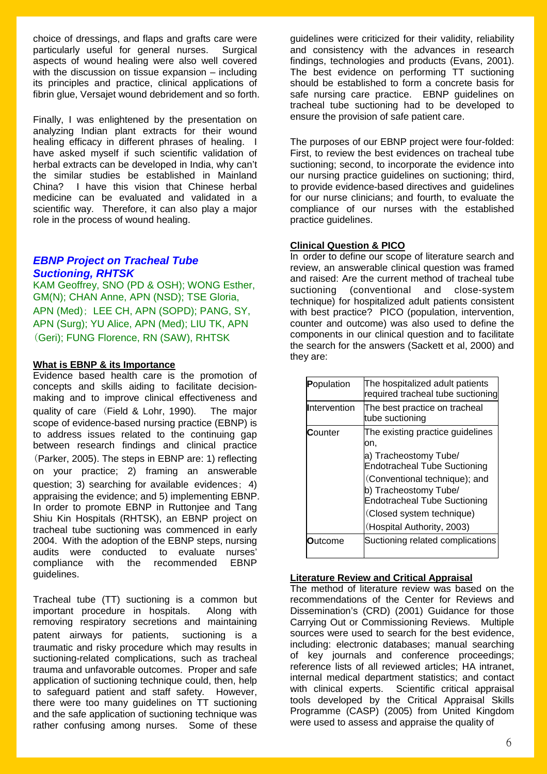choice of dressings, and flaps and grafts care were particularly useful for general nurses. Surgical aspects of wound healing were also well covered with the discussion on tissue expansion – including its principles and practice, clinical applications of fibrin glue, Versajet wound debridement and so forth.

Finally, I was enlightened by the presentation on analyzing Indian plant extracts for their wound healing efficacy in different phrases of healing. I have asked myself if such scientific validation of herbal extracts can be developed in India, why can't the similar studies be established in Mainland China? I have this vision that Chinese herbal medicine can be evaluated and validated in a scientific way. Therefore, it can also play a major role in the process of wound healing.

# *EBNP Project on Tracheal Tube Suctioning, RHTSK*

KAM Geoffrey, SNO (PD & OSH); WONG Esther, GM(N); CHAN Anne, APN (NSD); TSE Gloria, APN (Med); LEE CH, APN (SOPD); PANG, SY, APN (Surg); YU Alice, APN (Med); LIU TK, APN (Geri); FUNG Florence, RN (SAW), RHTSK

## **What is EBNP & its Importance**

Evidence based health care is the promotion of concepts and skills aiding to facilitate decisionmaking and to improve clinical effectiveness and quality of care (Field & Lohr, 1990). The major scope of evidence-based nursing practice (EBNP) is to address issues related to the continuing gap between research findings and clinical practice (Parker, 2005). The steps in EBNP are: 1) reflecting on your practice; 2) framing an answerable question; 3) searching for available evidences; 4) appraising the evidence; and 5) implementing EBNP. In order to promote EBNP in Ruttonjee and Tang Shiu Kin Hospitals (RHTSK), an EBNP project on tracheal tube suctioning was commenced in early 2004. With the adoption of the EBNP steps, nursing audits were conducted to evaluate nurses' compliance with the recommended EBNP guidelines.

Tracheal tube (TT) suctioning is a common but important procedure in hospitals. Along with removing respiratory secretions and maintaining patent airways for patients, suctioning is a traumatic and risky procedure which may results in suctioning-related complications, such as tracheal trauma and unfavorable outcomes. Proper and safe application of suctioning technique could, then, help to safeguard patient and staff safety. However, there were too many guidelines on TT suctioning and the safe application of suctioning technique was rather confusing among nurses. Some of these

guidelines were criticized for their validity, reliability and consistency with the advances in research findings, technologies and products (Evans, 2001). The best evidence on performing TT suctioning should be established to form a concrete basis for safe nursing care practice. EBNP guidelines on tracheal tube suctioning had to be developed to ensure the provision of safe patient care.

The purposes of our EBNP project were four-folded: First, to review the best evidences on tracheal tube suctioning; second, to incorporate the evidence into our nursing practice guidelines on suctioning; third, to provide evidence-based directives and guidelines for our nurse clinicians; and fourth, to evaluate the compliance of our nurses with the established practice guidelines.

## **Clinical Question & PICO**

In order to define our scope of literature search and review, an answerable clinical question was framed and raised: Are the current method of tracheal tube suctioning (conventional and close-system technique) for hospitalized adult patients consistent with best practice? PICO (population, intervention, counter and outcome) was also used to define the components in our clinical question and to facilitate the search for the answers (Sackett et al, 2000) and they are:

| Population          | The hospitalized adult patients<br>required tracheal tube suctioning                                                                                                                                                                                                |
|---------------------|---------------------------------------------------------------------------------------------------------------------------------------------------------------------------------------------------------------------------------------------------------------------|
| <b>Intervention</b> | The best practice on tracheal<br>tube suctioning                                                                                                                                                                                                                    |
| Counter             | The existing practice guidelines<br>on.<br>a) Tracheostomy Tube/<br><b>Endotracheal Tube Suctioning</b><br>(Conventional technique); and<br>b) Tracheostomy Tube/<br><b>Endotracheal Tube Suctioning</b><br>(Closed system technique)<br>(Hospital Authority, 2003) |
| Dutcome             | Suctioning related complications                                                                                                                                                                                                                                    |

## **Literature Review and Critical Appraisal**

The method of literature review was based on the recommendations of the Center for Reviews and Dissemination's (CRD) (2001) Guidance for those Carrying Out or Commissioning Reviews. Multiple sources were used to search for the best evidence, including: electronic databases; manual searching of key journals and conference proceedings; reference lists of all reviewed articles; HA intranet, internal medical department statistics; and contact with clinical experts. Scientific critical appraisal tools developed by the Critical Appraisal Skills Programme (CASP) (2005) from United Kingdom were used to assess and appraise the quality of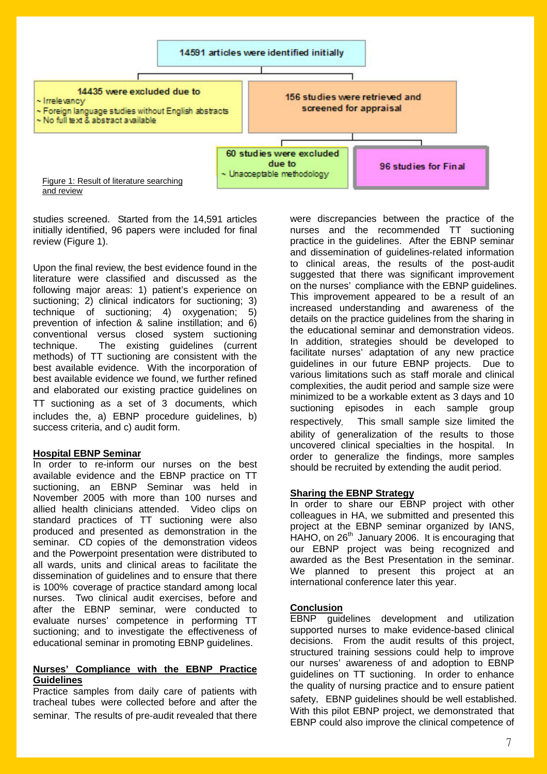

studies screened. Started from the 14,591 articles initially identified, 96 papers were included for final review (Figure 1).

Upon the final review, the best evidence found in the literature were classified and discussed as the following major areas: 1) patient's experience on suctioning; 2) clinical indicators for suctioning; 3) technique of suctioning; 4) oxygenation; 5) prevention of infection & saline instillation; and 6) conventional versus closed system suctioning technique. The existing guidelines (current methods) of TT suctioning are consistent with the best available evidence. With the incorporation of best available evidence we found, we further refined and elaborated our existing practice guidelines on TT suctioning as a set of 3 documents, which includes the, a) EBNP procedure guidelines, b) success criteria, and c) audit form.

#### **Hospital EBNP Seminar**

In order to re-inform our nurses on the best available evidence and the EBNP practice on TT suctioning, an EBNP Seminar was held in November 2005 with more than 100 nurses and allied health clinicians attended. Video clips on standard practices of TT suctioning were also produced and presented as demonstration in the seminar. CD copies of the demonstration videos and the Powerpoint presentation were distributed to all wards, units and clinical areas to facilitate the dissemination of guidelines and to ensure that there is 100% coverage of practice standard among local nurses. Two clinical audit exercises, before and after the EBNP seminar, were conducted to evaluate nurses' competence in performing TT suctioning; and to investigate the effectiveness of educational seminar in promoting EBNP guidelines.

#### **Nurses' Compliance with the EBNP Practice Guidelines**

Practice samples from daily care of patients with tracheal tubes were collected before and after the seminar. The results of pre-audit revealed that there were discrepancies between the practice of the nurses and the recommended TT suctioning practice in the guidelines. After the EBNP seminar and dissemination of guidelines-related information to clinical areas, the results of the post-audit suggested that there was significant improvement on the nurses' compliance with the EBNP guidelines. This improvement appeared to be a result of an increased understanding and awareness of the details on the practice guidelines from the sharing in the educational seminar and demonstration videos. In addition, strategies should be developed to facilitate nurses' adaptation of any new practice guidelines in our future EBNP projects. Due to various limitations such as staff morale and clinical complexities, the audit period and sample size were minimized to be a workable extent as 3 days and 10 suctioning episodes in each sample group respectively. This small sample size limited the ability of generalization of the results to those uncovered clinical specialties in the hospital. In order to generalize the findings, more samples should be recruited by extending the audit period.

#### **Sharing the EBNP Strategy**

In order to share our EBNP project with other colleagues in HA, we submitted and presented this project at the EBNP seminar organized by IANS, HAHO, on 26<sup>th</sup> January 2006. It is encouraging that our EBNP project was being recognized and awarded as the Best Presentation in the seminar. We planned to present this project at an international conference later this year.

#### **Conclusion**

EBNP guidelines development and utilization supported nurses to make evidence-based clinical decisions. From the audit results of this project, structured training sessions could help to improve our nurses' awareness of and adoption to EBNP guidelines on TT suctioning. In order to enhance the quality of nursing practice and to ensure patient safety, EBNP guidelines should be well established. With this pilot EBNP project, we demonstrated that EBNP could also improve the clinical competence of